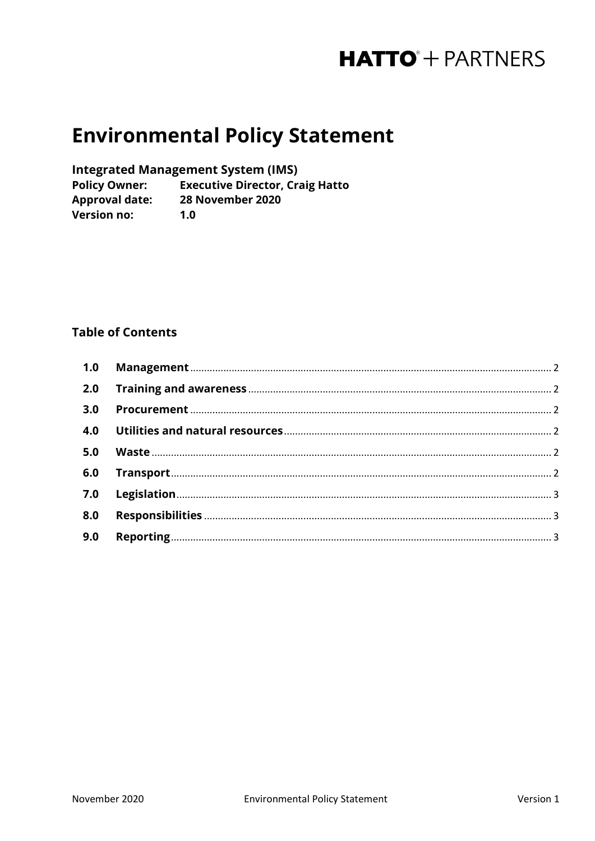# **HATTO**<sup>+</sup> PARTNERS

# **Environmental Policy Statement**

**Integrated Management System (IMS)** 

**Policy Owner: Executive Director, Craig Hatto** Approval date: 28 November 2020 **Version no:**  $1.0$ 

## **Table of Contents**

| 3.0 |  |
|-----|--|
|     |  |
| 5.0 |  |
| 6.0 |  |
|     |  |
| 8.0 |  |
| 9.0 |  |
|     |  |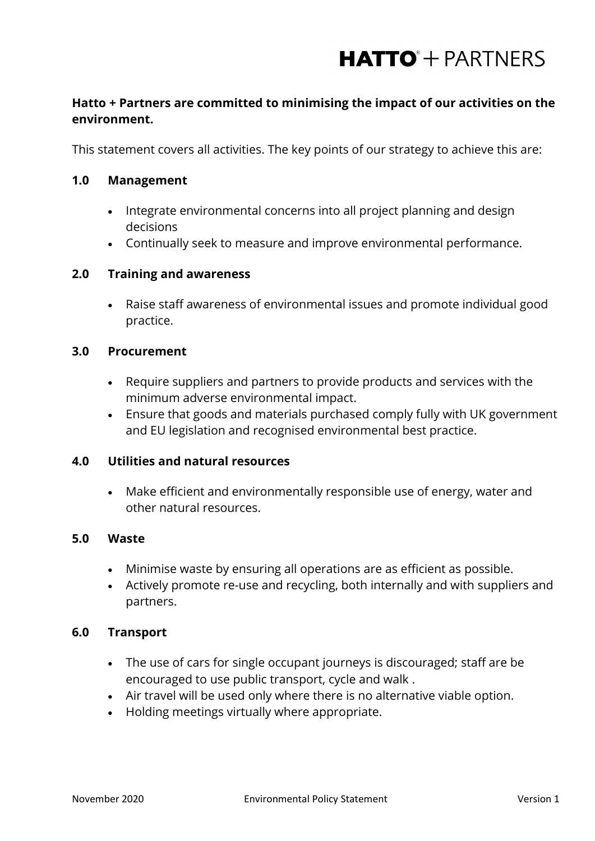# **HATTO**<sup>+</sup> PARTNERS

# **Hatto + Partners are committed to minimising the impact of our activities on the environment.**

This statement covers all activities. The key points of our strategy to achieve this are:

#### <span id="page-1-0"></span>**1.0 Management**

- Integrate environmental concerns into all project planning and design decisions
- Continually seek to measure and improve environmental performance.

### <span id="page-1-1"></span>**2.0 Training and awareness**

• Raise staff awareness of environmental issues and promote individual good practice.

#### <span id="page-1-2"></span>**3.0 Procurement**

- Require suppliers and partners to provide products and services with the minimum adverse environmental impact.
- Ensure that goods and materials purchased comply fully with UK government and EU legislation and recognised environmental best practice.

#### <span id="page-1-3"></span>**4.0 Utilities and natural resources**

• Make efficient and environmentally responsible use of energy, water and other natural resources.

#### <span id="page-1-4"></span>**5.0 Waste**

- Minimise waste by ensuring all operations are as efficient as possible.
- Actively promote re-use and recycling, both internally and with suppliers and partners.

#### <span id="page-1-5"></span>**6.0 Transport**

- The use of cars for single occupant journeys is discouraged; staff are be encouraged to use public transport, cycle and walk .
- Air travel will be used only where there is no alternative viable option.
- Holding meetings virtually where appropriate.